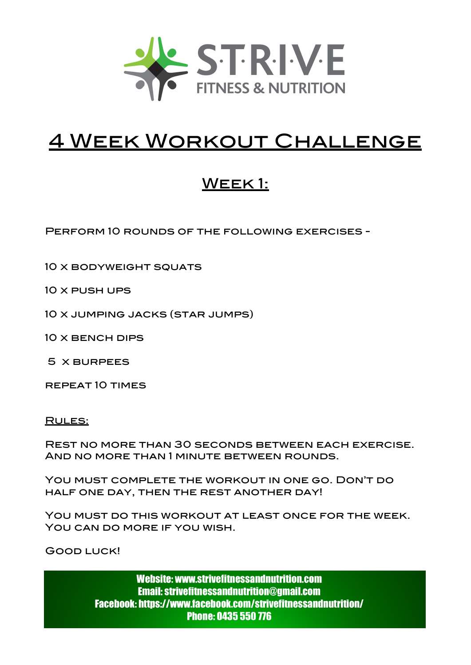

# 4 Week Workout Challenge

# WEEK1:

Perform 10 rounds of the following exercises -

10 X BODYWEIGHT SQUATS

10 x push ups

10 x jumping jacks (star jumps)

10 x bench dips

5 x burpees

repeat 10 times

Rules:

Rest no more than 30 seconds between each exercise. And no more than 1 minute between rounds.

You must complete the workout in one go. Don't do half one day, then the rest another day!

You must do this workout at least once for the week. You can do more if you wish.

Good luck!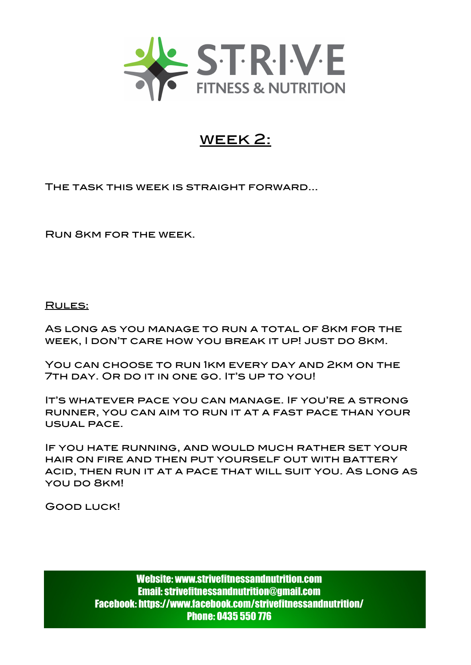

### week 2:

The task this week is straight forward...

Run 8km for the week.

Rules:

As long as you manage to run a total of 8km for the week, I don't care how you break it up! just do 8km.

You can choose to run 1km every day and 2km on the 7TH DAY. OR DO IT IN ONE GO. IT'S UP TO YOU!

It's whatever pace you can manage. If you're a strong runner, you can aim to run it at a fast pace than your usual pace.

If you hate running, and would much rather set your hair on fire and then put yourself out with battery acid, then run it at a pace that will suit you. As long as YOU DO 8KM!

Good luck!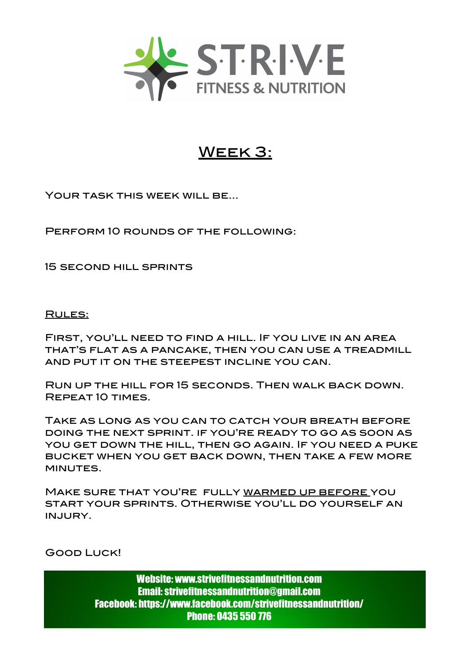

## Week 3:

YOUR TASK THIS WEEK WILL BE...

Perform 10 rounds of the following:

15 second hill sprints

Rules:

First, you'll need to find a hill. If you live in an area that's flat as a pancake, then you can use a treadmill and put it on the steepest incline you can.

Run up the hill for 15 seconds. Then walk back down. Repeat 10 times.

Take as long as you can to catch your breath before doing the next sprint. if you're ready to go as soon as you get down the hill, then go again. If you need a puke bucket when you get back down, then take a few more MINUTES.

Make sure that you're fully warmed up before you start your sprints. Otherwise you'll do yourself an injury.

Good Luck!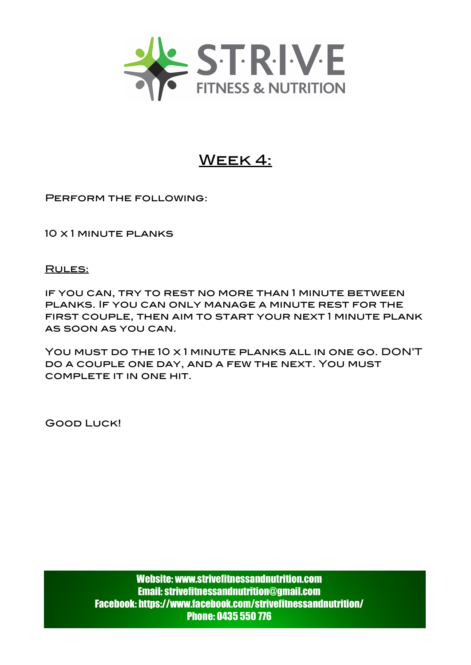

### Week 4:

Perform the following:

10 x 1 minute planks

#### RULES:

if you can, try to rest no more than 1 minute between planks. If you can only manage a minute rest for the first couple, then aim to start your next 1 minute plank as soon as you can.

You must do the 10 x 1 minute planks all in one go. DON'T do a couple one day, and a few the next. You must complete it in one hit.

Good Luck!